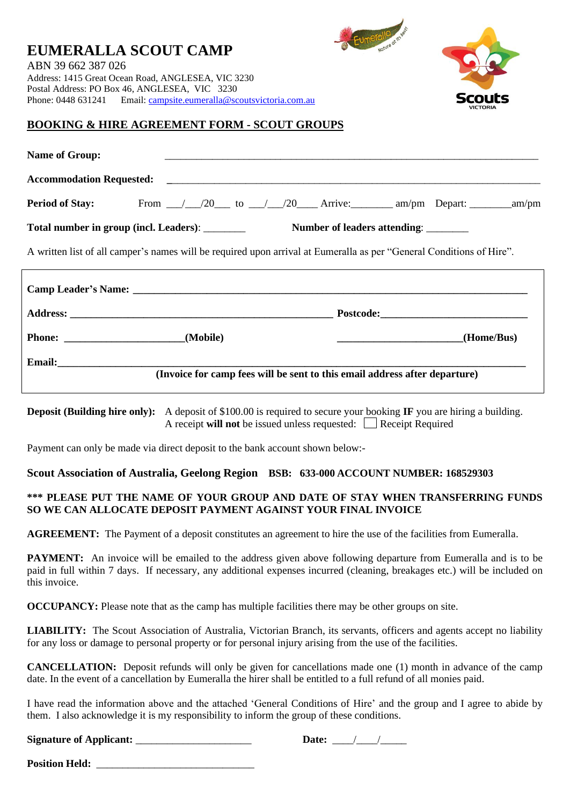

unefallo

## **BOOKING & HIRE AGREEMENT FORM - SCOUT GROUPS**

|  | (Home/Bus)                                                                                                                                                                                                                                                                  |
|--|-----------------------------------------------------------------------------------------------------------------------------------------------------------------------------------------------------------------------------------------------------------------------------|
|  |                                                                                                                                                                                                                                                                             |
|  | <b>Period of Stay:</b> From 120 to 120 Arrive: am/pm Depart: 20 am/pm<br>A written list of all camper's names will be required upon arrival at Eumeralla as per "General Conditions of Hire".<br>(Invoice for camp fees will be sent to this email address after departure) |

**Deposit (Building hire only):** A deposit of \$100.00 is required to secure your booking **IF** you are hiring a building. A receipt **will not** be issued unless requested: **Receipt Required** 

Payment can only be made via direct deposit to the bank account shown below:-

### **Scout Association of Australia, Geelong Region BSB: 633-000 ACCOUNT NUMBER: 168529303**

## **\*\*\* PLEASE PUT THE NAME OF YOUR GROUP AND DATE OF STAY WHEN TRANSFERRING FUNDS SO WE CAN ALLOCATE DEPOSIT PAYMENT AGAINST YOUR FINAL INVOICE**

**AGREEMENT:** The Payment of a deposit constitutes an agreement to hire the use of the facilities from Eumeralla.

**PAYMENT:** An invoice will be emailed to the address given above following departure from Eumeralla and is to be paid in full within 7 days. If necessary, any additional expenses incurred (cleaning, breakages etc.) will be included on this invoice.

**OCCUPANCY:** Please note that as the camp has multiple facilities there may be other groups on site.

**LIABILITY:** The Scout Association of Australia, Victorian Branch, its servants, officers and agents accept no liability for any loss or damage to personal property or for personal injury arising from the use of the facilities.

**CANCELLATION:** Deposit refunds will only be given for cancellations made one (1) month in advance of the camp date. In the event of a cancellation by Eumeralla the hirer shall be entitled to a full refund of all monies paid.

I have read the information above and the attached 'General Conditions of Hire' and the group and I agree to abide by them. I also acknowledge it is my responsibility to inform the group of these conditions.

| <b>Signature of Applicant:</b><br>Date: |  |
|-----------------------------------------|--|
|-----------------------------------------|--|

**Position Held:**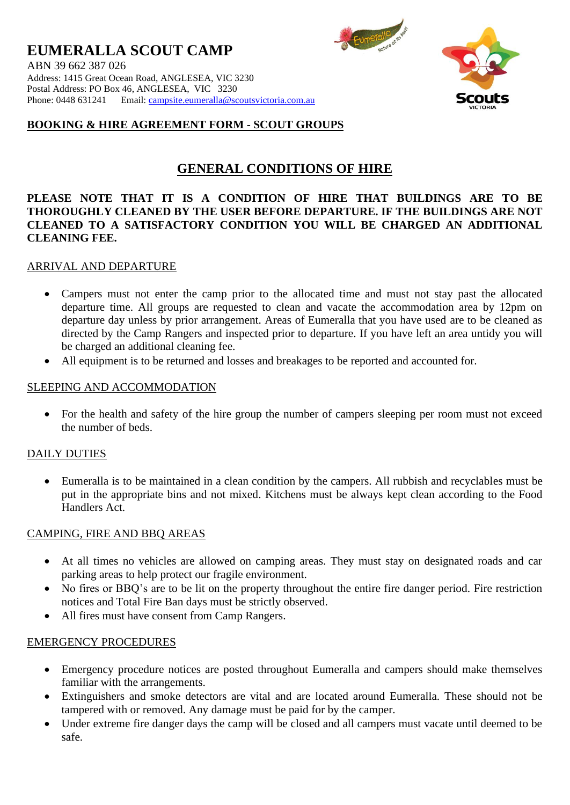

Eumerallo artistes

## **BOOKING & HIRE AGREEMENT FORM - SCOUT GROUPS**

# **GENERAL CONDITIONS OF HIRE**

## **PLEASE NOTE THAT IT IS A CONDITION OF HIRE THAT BUILDINGS ARE TO BE THOROUGHLY CLEANED BY THE USER BEFORE DEPARTURE. IF THE BUILDINGS ARE NOT CLEANED TO A SATISFACTORY CONDITION YOU WILL BE CHARGED AN ADDITIONAL CLEANING FEE.**

## ARRIVAL AND DEPARTURE

- Campers must not enter the camp prior to the allocated time and must not stay past the allocated departure time. All groups are requested to clean and vacate the accommodation area by 12pm on departure day unless by prior arrangement. Areas of Eumeralla that you have used are to be cleaned as directed by the Camp Rangers and inspected prior to departure. If you have left an area untidy you will be charged an additional cleaning fee.
- All equipment is to be returned and losses and breakages to be reported and accounted for.

## SLEEPING AND ACCOMMODATION

• For the health and safety of the hire group the number of campers sleeping per room must not exceed the number of beds.

### DAILY DUTIES

• Eumeralla is to be maintained in a clean condition by the campers. All rubbish and recyclables must be put in the appropriate bins and not mixed. Kitchens must be always kept clean according to the Food Handlers Act.

## CAMPING, FIRE AND BBQ AREAS

- At all times no vehicles are allowed on camping areas. They must stay on designated roads and car parking areas to help protect our fragile environment.
- No fires or BBQ's are to be lit on the property throughout the entire fire danger period. Fire restriction notices and Total Fire Ban days must be strictly observed.
- All fires must have consent from Camp Rangers.

### EMERGENCY PROCEDURES

- Emergency procedure notices are posted throughout Eumeralla and campers should make themselves familiar with the arrangements.
- Extinguishers and smoke detectors are vital and are located around Eumeralla. These should not be tampered with or removed. Any damage must be paid for by the camper.
- Under extreme fire danger days the camp will be closed and all campers must vacate until deemed to be safe.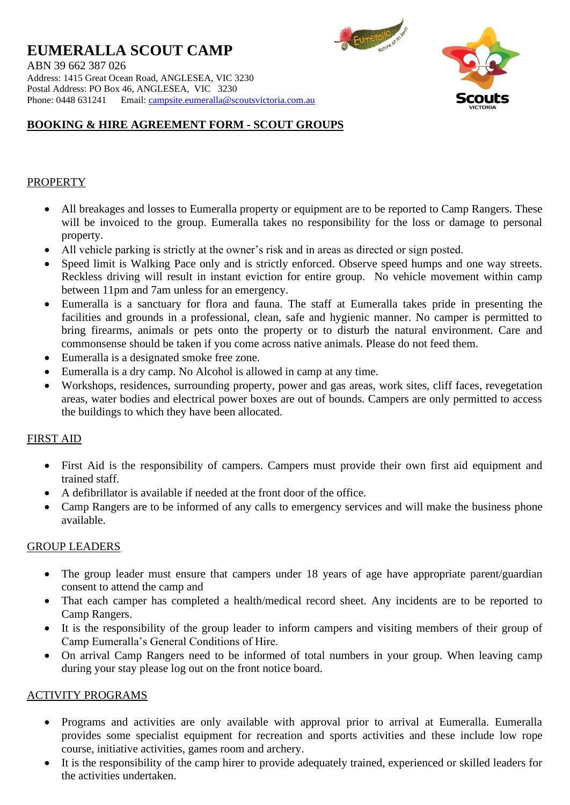**EUMERALLA SCOUT CAMP** ABN 39 662 387 026 Address: 1415 Great Ocean Road, ANGLESEA, VIC 3230 Postal Address: PO Box 46, ANGLESEA, VIC 3230 Phone: 0448 631241 Email: [campsite.eumeralla@scoutsvictoria.com.au](mailto:campsite.eumeralla@scoutsvictoria.com.au)

Eumerallo The Manus

# **BOOKING & HIRE AGREEMENT FORM - SCOUT GROUPS**

## PROPERTY

- All breakages and losses to Eumeralla property or equipment are to be reported to Camp Rangers. These will be invoiced to the group. Eumeralla takes no responsibility for the loss or damage to personal property.
- All vehicle parking is strictly at the owner's risk and in areas as directed or sign posted.
- Speed limit is Walking Pace only and is strictly enforced. Observe speed humps and one way streets. Reckless driving will result in instant eviction for entire group. No vehicle movement within camp between 11pm and 7am unless for an emergency.
- Eumeralla is a sanctuary for flora and fauna. The staff at Eumeralla takes pride in presenting the facilities and grounds in a professional, clean, safe and hygienic manner. No camper is permitted to bring firearms, animals or pets onto the property or to disturb the natural environment. Care and commonsense should be taken if you come across native animals. Please do not feed them.
- Eumeralla is a designated smoke free zone.
- Eumeralla is a dry camp. No Alcohol is allowed in camp at any time.
- Workshops, residences, surrounding property, power and gas areas, work sites, cliff faces, revegetation areas, water bodies and electrical power boxes are out of bounds. Campers are only permitted to access the buildings to which they have been allocated.

## FIRST AID

- First Aid is the responsibility of campers. Campers must provide their own first aid equipment and trained staff.
- A defibrillator is available if needed at the front door of the office.
- Camp Rangers are to be informed of any calls to emergency services and will make the business phone available.

## GROUP LEADERS

- The group leader must ensure that campers under 18 years of age have appropriate parent/guardian consent to attend the camp and
- That each camper has completed a health/medical record sheet. Any incidents are to be reported to Camp Rangers.
- It is the responsibility of the group leader to inform campers and visiting members of their group of Camp Eumeralla's General Conditions of Hire.
- On arrival Camp Rangers need to be informed of total numbers in your group. When leaving camp during your stay please log out on the front notice board.

## ACTIVITY PROGRAMS

- Programs and activities are only available with approval prior to arrival at Eumeralla. Eumeralla provides some specialist equipment for recreation and sports activities and these include low rope course, initiative activities, games room and archery.
- It is the responsibility of the camp hirer to provide adequately trained, experienced or skilled leaders for the activities undertaken.